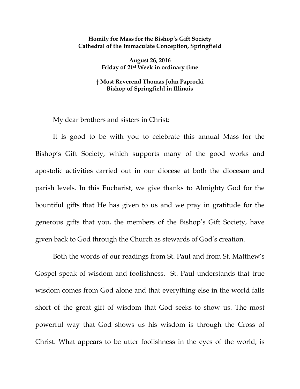## **Homily for Mass for the Bishop's Gift Society Cathedral of the Immaculate Conception, Springfield**

**August 26, 2016 Friday of 21st Week in ordinary time**

## **† Most Reverend Thomas John Paprocki Bishop of Springfield in Illinois**

My dear brothers and sisters in Christ:

It is good to be with you to celebrate this annual Mass for the Bishop's Gift Society, which supports many of the good works and apostolic activities carried out in our diocese at both the diocesan and parish levels. In this Eucharist, we give thanks to Almighty God for the bountiful gifts that He has given to us and we pray in gratitude for the generous gifts that you, the members of the Bishop's Gift Society, have given back to God through the Church as stewards of God's creation.

Both the words of our readings from St. Paul and from St. Matthew's Gospel speak of wisdom and foolishness. St. Paul understands that true wisdom comes from God alone and that everything else in the world falls short of the great gift of wisdom that God seeks to show us. The most powerful way that God shows us his wisdom is through the Cross of Christ. What appears to be utter foolishness in the eyes of the world, is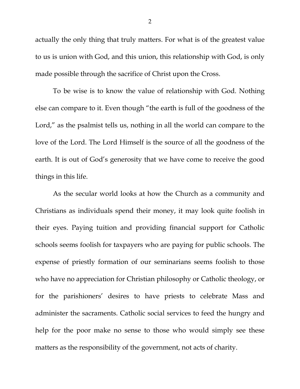actually the only thing that truly matters. For what is of the greatest value to us is union with God, and this union, this relationship with God, is only made possible through the sacrifice of Christ upon the Cross.

To be wise is to know the value of relationship with God. Nothing else can compare to it. Even though "the earth is full of the goodness of the Lord," as the psalmist tells us, nothing in all the world can compare to the love of the Lord. The Lord Himself is the source of all the goodness of the earth. It is out of God's generosity that we have come to receive the good things in this life.

As the secular world looks at how the Church as a community and Christians as individuals spend their money, it may look quite foolish in their eyes. Paying tuition and providing financial support for Catholic schools seems foolish for taxpayers who are paying for public schools. The expense of priestly formation of our seminarians seems foolish to those who have no appreciation for Christian philosophy or Catholic theology, or for the parishioners' desires to have priests to celebrate Mass and administer the sacraments. Catholic social services to feed the hungry and help for the poor make no sense to those who would simply see these matters as the responsibility of the government, not acts of charity.